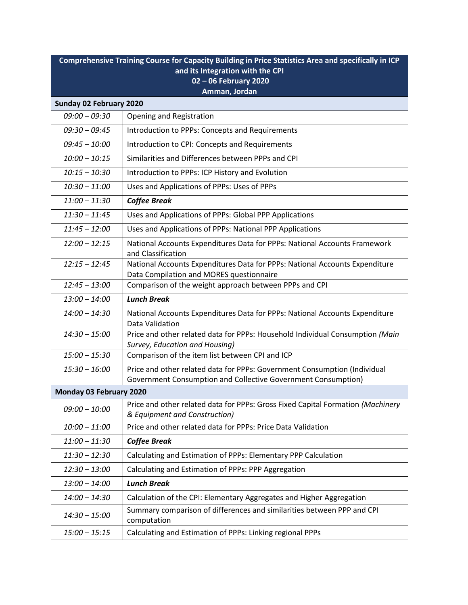| Comprehensive Training Course for Capacity Building in Price Statistics Area and specifically in ICP |                                                                                                                                            |  |
|------------------------------------------------------------------------------------------------------|--------------------------------------------------------------------------------------------------------------------------------------------|--|
| and its Integration with the CPI                                                                     |                                                                                                                                            |  |
| 02 - 06 February 2020<br>Amman, Jordan                                                               |                                                                                                                                            |  |
| Sunday 02 February 2020                                                                              |                                                                                                                                            |  |
| $09:00 - 09:30$                                                                                      | Opening and Registration                                                                                                                   |  |
| $09:30 - 09:45$                                                                                      | Introduction to PPPs: Concepts and Requirements                                                                                            |  |
| $09:45 - 10:00$                                                                                      | Introduction to CPI: Concepts and Requirements                                                                                             |  |
| $10:00 - 10:15$                                                                                      | Similarities and Differences between PPPs and CPI                                                                                          |  |
| $10:15 - 10:30$                                                                                      | Introduction to PPPs: ICP History and Evolution                                                                                            |  |
| $10:30 - 11:00$                                                                                      | Uses and Applications of PPPs: Uses of PPPs                                                                                                |  |
| $11:00 - 11:30$                                                                                      | <b>Coffee Break</b>                                                                                                                        |  |
| $11:30 - 11:45$                                                                                      | Uses and Applications of PPPs: Global PPP Applications                                                                                     |  |
| $11:45 - 12:00$                                                                                      | Uses and Applications of PPPs: National PPP Applications                                                                                   |  |
| $12:00 - 12:15$                                                                                      | National Accounts Expenditures Data for PPPs: National Accounts Framework<br>and Classification                                            |  |
| $12:15 - 12:45$                                                                                      | National Accounts Expenditures Data for PPPs: National Accounts Expenditure<br>Data Compilation and MORES questionnaire                    |  |
| $12:45 - 13:00$                                                                                      | Comparison of the weight approach between PPPs and CPI                                                                                     |  |
| $13:00 - 14:00$                                                                                      | <b>Lunch Break</b>                                                                                                                         |  |
| $14:00 - 14:30$                                                                                      | National Accounts Expenditures Data for PPPs: National Accounts Expenditure<br>Data Validation                                             |  |
| $14:30 - 15:00$                                                                                      | Price and other related data for PPPs: Household Individual Consumption (Main<br>Survey, Education and Housing)                            |  |
| $15:00 - 15:30$                                                                                      | Comparison of the item list between CPI and ICP                                                                                            |  |
| $15:30 - 16:00$                                                                                      | Price and other related data for PPPs: Government Consumption (Individual<br>Government Consumption and Collective Government Consumption) |  |
| Monday 03 February 2020                                                                              |                                                                                                                                            |  |
| $09:00 - 10:00$                                                                                      | Price and other related data for PPPs: Gross Fixed Capital Formation (Machinery<br>& Equipment and Construction)                           |  |
| $10:00 - 11:00$                                                                                      | Price and other related data for PPPs: Price Data Validation                                                                               |  |
| $11:00 - 11:30$                                                                                      | <b>Coffee Break</b>                                                                                                                        |  |
| $11:30 - 12:30$                                                                                      | Calculating and Estimation of PPPs: Elementary PPP Calculation                                                                             |  |
| $12:30 - 13:00$                                                                                      | Calculating and Estimation of PPPs: PPP Aggregation                                                                                        |  |
| $13:00 - 14:00$                                                                                      | <b>Lunch Break</b>                                                                                                                         |  |
| $14:00 - 14:30$                                                                                      | Calculation of the CPI: Elementary Aggregates and Higher Aggregation                                                                       |  |
| $14:30 - 15:00$                                                                                      | Summary comparison of differences and similarities between PPP and CPI<br>computation                                                      |  |
| $15:00 - 15:15$                                                                                      | Calculating and Estimation of PPPs: Linking regional PPPs                                                                                  |  |